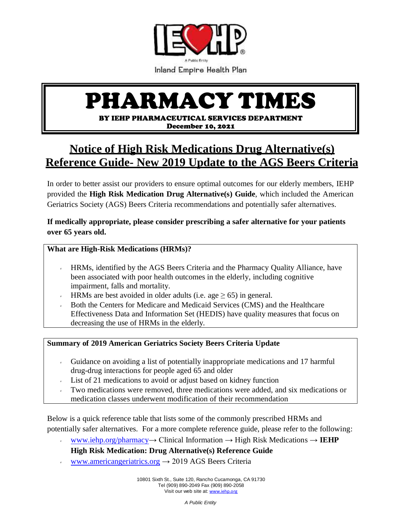

# PHARMACY TIMES

BY IEHP PHARMACEUTICAL SERVICES DEPARTMENT December 10, 2021

## **Notice of High Risk Medications Drug Alternative(s) Reference Guide- New 2019 Update to the AGS Beers Criteria**

In order to better assist our providers to ensure optimal outcomes for our elderly members, IEHP provided the **High Risk Medication Drug Alternative(s) Guide**, which included the American Geriatrics Society (AGS) Beers Criteria recommendations and potentially safer alternatives.

**If medically appropriate, please consider prescribing a safer alternative for your patients over 65 years old.**

### **What are High-Risk Medications (HRMs)?**

- HRMs, identified by the AGS Beers Criteria and the Pharmacy Quality Alliance, have ¥. been associated with poor health outcomes in the elderly, including cognitive impairment, falls and mortality.
- HRMs are best avoided in older adults (i.e. age  $> 65$ ) in general.
- Both the Centers for Medicare and Medicaid Services (CMS) and the Healthcare Effectiveness Data and Information Set (HEDIS) have quality measures that focus on decreasing the use of HRMs in the elderly.

### **Summary of 2019 American Geriatrics Society Beers Criteria Update**

- Guidance on avoiding a list of potentially inappropriate medications and 17 harmful  $\mathbf{r}^{\top}$ drug-drug interactions for people aged 65 and older
- List of 21 medications to avoid or adjust based on kidney function
- Two medications were removed, three medications were added, and six medications or medication classes underwent modification of their recommendation

Below is a quick reference table that lists some of the commonly prescribed HRMs and potentially safer alternatives. For a more complete reference guide, please refer to the following:

[www.iehp.org/pharmacy→](http://www.iehp.org/pharmacy) Clinical Information → High Risk Medications → **IEHP**   $\mathbf{v}^{\pm}$ 

### **High Risk Medication: Drug Alternative(s) Reference Guide**

[www.americangeriatrics.org](http://www.americangeriatrics.org/)  $\rightarrow$  2019 AGS Beers Criteria